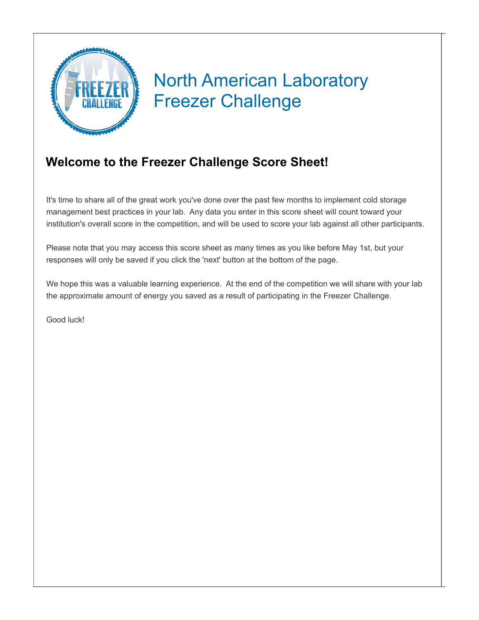

#### **Welcome to the Freezer Challenge Score Sheet!**

It's time to share all of the great work you've done over the past few months to implement cold storage management best practices in your lab. Any data you enter in this score sheet will count toward your institution's overall score in the competition, and will be used to score your lab against all other participants.

Please note that you may access this score sheet as many times as you like before May 1st, but your responses will only be saved if you click the 'next' button at the bottom of the page.

We hope this was a valuable learning experience. At the end of the competition we will share with your lab the approximate amount of energy you saved as a result of participating in the Freezer Challenge.

Good luck!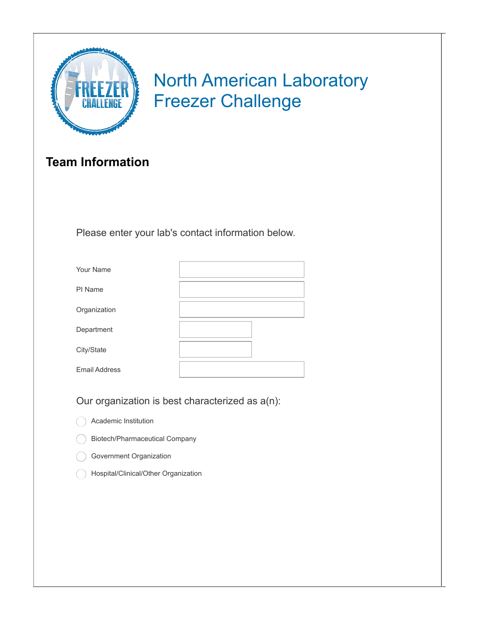

#### **Team Information**

Please enter your lab's contact information below.

| Your Name            |  |
|----------------------|--|
| PI Name              |  |
| Organization         |  |
| Department           |  |
| City/State           |  |
| <b>Email Address</b> |  |

Our organization is best characterized as a(n):

Academic Institution

Biotech/Pharmaceutical Company

Government Organization

Hospital/Clinical/Other Organization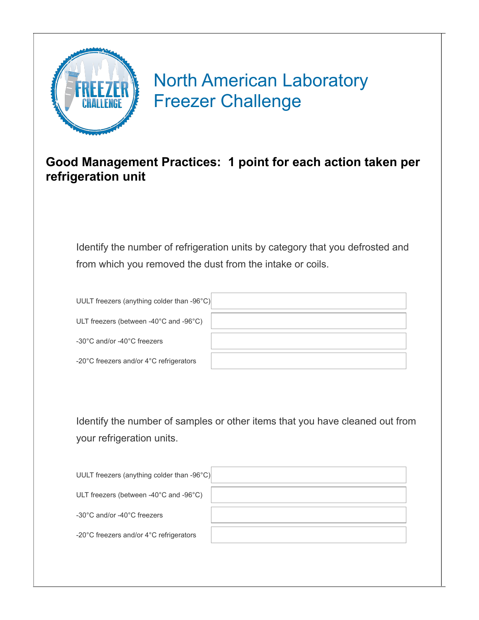

#### **Good Management Practices: 1 point for each action taken per refrigeration unit**

Identify the number of refrigeration units by category that you defrosted and from which you removed the dust from the intake or coils.

UULT freezers (anything colder than -96°

ULT freezers (between -40°C and -96°C)

-30°C and/or -40°C freezers

-20°C freezers and/or 4°C refrigerators

Identify the number of samples or other items that you have cleaned out from your refrigeration units.

| UULT freezers (anything colder than -96 $^{\circ}$ C)        |  |
|--------------------------------------------------------------|--|
| ULT freezers (between -40 $^{\circ}$ C and -96 $^{\circ}$ C) |  |
| -30°C and/or -40°C freezers                                  |  |
| -20°C freezers and/or 4°C refrigerators                      |  |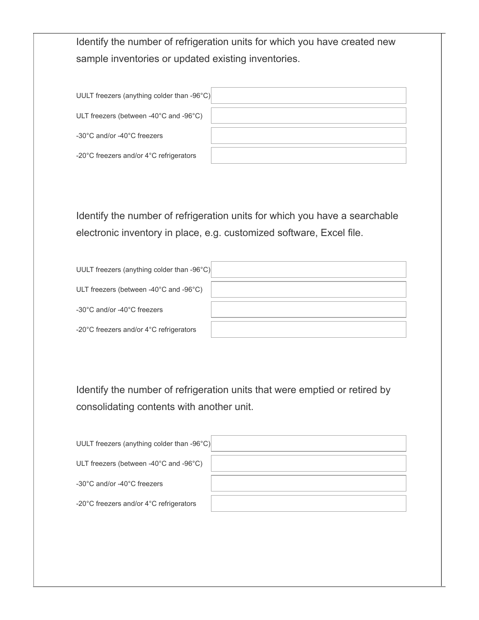Identify the number of refrigeration units for which you have created new sample inventories or updated existing inventories.

| UULT freezers (anything colder than -96°C)                   |  |
|--------------------------------------------------------------|--|
|                                                              |  |
| ULT freezers (between -40 $^{\circ}$ C and -96 $^{\circ}$ C) |  |
|                                                              |  |
| -30°C and/or -40°C freezers                                  |  |
|                                                              |  |
| -20°C freezers and/or 4°C refrigerators                      |  |
|                                                              |  |

Identify the number of refrigeration units for which you have a searchable electronic inventory in place, e.g. customized software, Excel file.

| UULT freezers (anything colder than -96°C)                   |  |
|--------------------------------------------------------------|--|
| ULT freezers (between -40 $^{\circ}$ C and -96 $^{\circ}$ C) |  |
| -30°C and/or -40°C freezers                                  |  |
| -20°C freezers and/or 4°C refrigerators                      |  |

Identify the number of refrigeration units that were emptied or retired by consolidating contents with another unit.

| UULT freezers (anything colder than -96°C)                   |  |
|--------------------------------------------------------------|--|
| ULT freezers (between -40 $^{\circ}$ C and -96 $^{\circ}$ C) |  |
| -30°C and/or -40°C freezers                                  |  |
| -20°C freezers and/or 4°C refrigerators                      |  |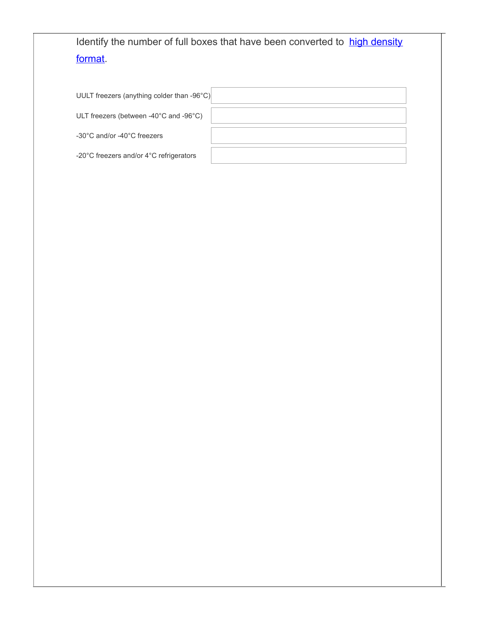#### Identify the number of full boxes that have been [converted](http://www.freezerchallenge.org/good-management-practices.html) to high density format.

| UULT freezers (anything colder than -96°C) |  |
|--------------------------------------------|--|
|--------------------------------------------|--|

ULT freezers (between -40°C and -96°C)

-30°C and/or -40°C freezers

-20°C freezers and/or 4°C refrigerators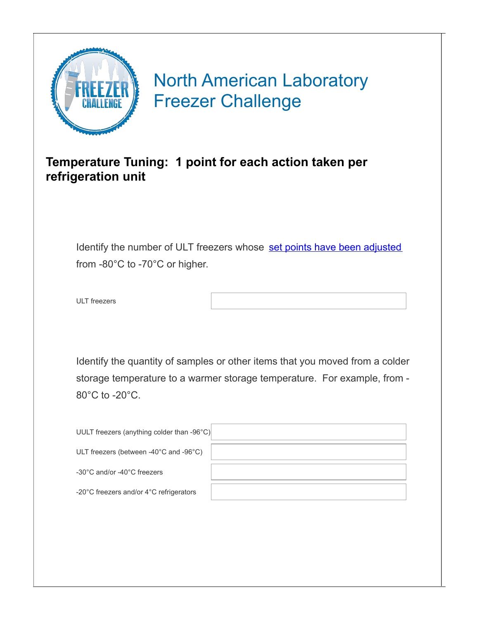

#### **Temperature Tuning: 1 point for each action taken per refrigeration unit**

Identify the number of ULT freezers whose set points have been [adjusted](http://www.freezerchallenge.org/temperature-tuning.html) from -80°C to -70°C or higher.

ULT freezers

Identify the quantity of samples or other items that you moved from a colder storage temperature to a warmer storage temperature. For example, from - 80°C to -20°C.

| UULT freezers (anything colder than -96°C) |  |
|--------------------------------------------|--|
| ULT freezers (between -40°C and -96°C)     |  |
| -30°C and/or -40°C freezers                |  |
| -20°C freezers and/or 4°C refrigerators    |  |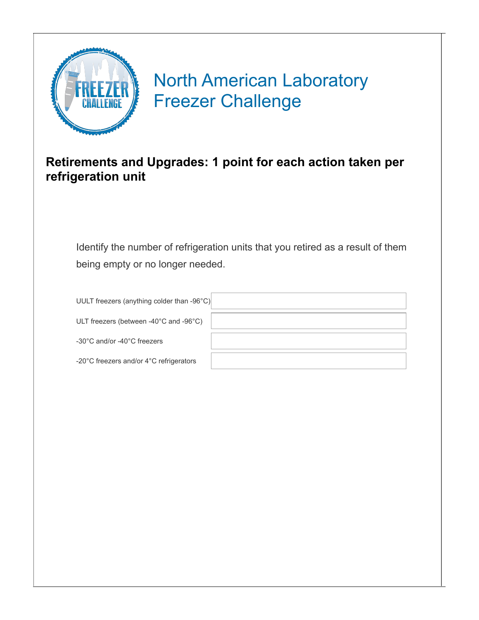

#### **Retirements and Upgrades: 1 point for each action taken per refrigeration unit**

Identify the number of refrigeration units that you retired as a result of them being empty or no longer needed.

UULT freezers (anything colder than -9

ULT freezers (between -40°C and -96°

-30°C and/or -40°C freezers

-20°C freezers and/or 4°C refrigerators

| 96°C)                 |  |
|-----------------------|--|
| $\mathrm{^{\circ}C})$ |  |
|                       |  |
| S                     |  |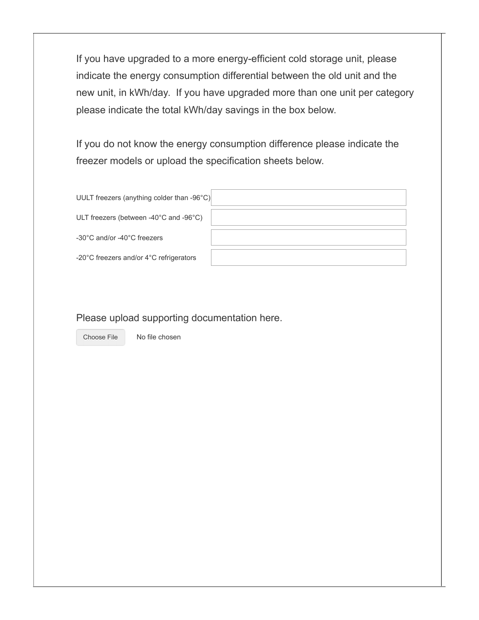If you have upgraded to a more energy-efficient cold storage unit, please indicate the energy consumption differential between the old unit and the new unit, in kWh/day. If you have upgraded more than one unit per category please indicate the total kWh/day savings in the box below.

If you do not know the energy consumption difference please indicate the freezer models or upload the specification sheets below.

| UULT freezers (anything colder than -96°C)                   |  |
|--------------------------------------------------------------|--|
| ULT freezers (between -40 $^{\circ}$ C and -96 $^{\circ}$ C) |  |
| -30°C and/or -40°C freezers                                  |  |
| -20°C freezers and/or 4°C refrigerators                      |  |

#### Please upload supporting documentation here.

Choose File

No file chosen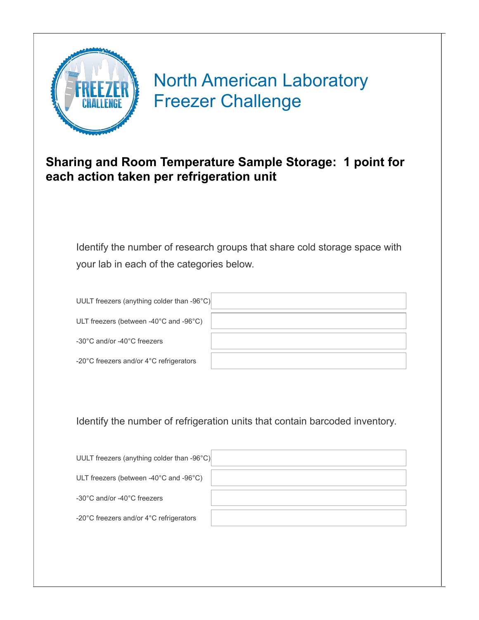

#### **Sharing and Room Temperature Sample Storage: 1 point for each action taken per refrigeration unit**

Identify the number of research groups that share cold storage space with your lab in each of the categories below.

UULT freezers (anything colder than -96

ULT freezers (between -40°C and -96°C)

-30°C and/or -40°C freezers

-20°C freezers and/or 4°C refrigerators

| :°C۱ |  |
|------|--|
|      |  |
|      |  |
|      |  |
|      |  |

Identify the number of refrigeration units that contain barcoded inventory.

| UULT freezers (anything colder than -96 $^{\circ}$ C)        |  |
|--------------------------------------------------------------|--|
| ULT freezers (between -40 $^{\circ}$ C and -96 $^{\circ}$ C) |  |
| $-30^{\circ}$ C and/or $-40^{\circ}$ C freezers              |  |
| -20°C freezers and/or 4°C refrigerators                      |  |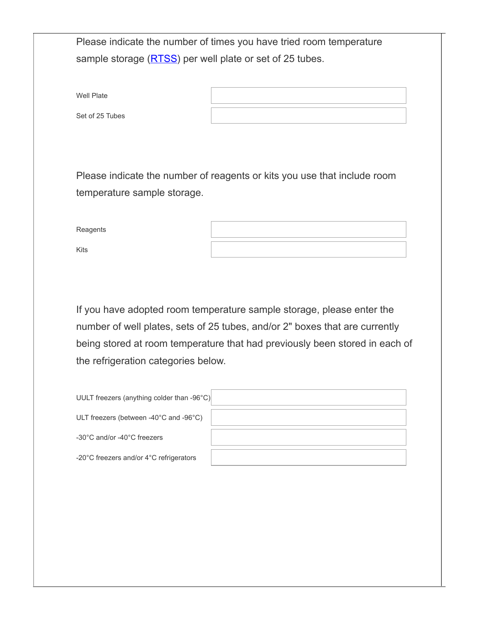Please indicate the number of times you have tried room temperature sample storage [\(RTSS](http://www.freezerchallenge.org/cutting-edge-practices.html)) per well plate or set of 25 tubes.

Well Plate

Set of 25 Tubes

Please indicate the number of reagents or kits you use that include room temperature sample storage.

| Reagents |  |
|----------|--|
| Kits     |  |

If you have adopted room temperature sample storage, please enter the number of well plates, sets of 25 tubes, and/or 2" boxes that are currently being stored at room temperature that had previously been stored in each of the refrigeration categories below.

| UULT freezers (anything colder than -96°C) |  |
|--------------------------------------------|--|
| ULT freezers (between -40°C and -96°C)     |  |
| -30°C and/or -40°C freezers                |  |
| -20°C freezers and/or 4°C refrigerators    |  |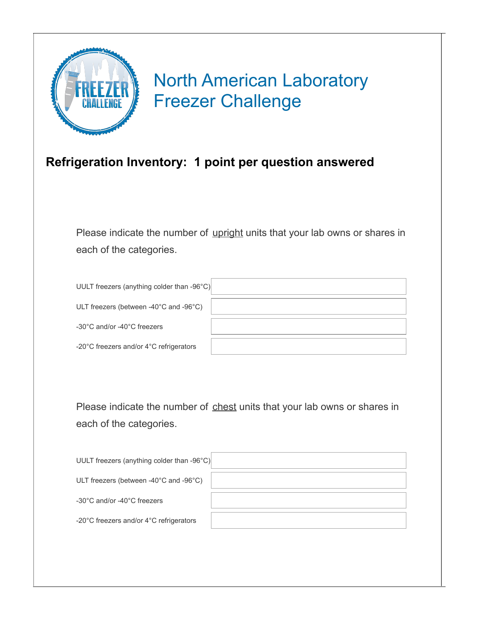

#### **Refrigeration Inventory: 1 point per question answered**

Please indicate the number of upright units that your lab owns or shares in each of the categories.

UULT freezers (anything colder than -96°C)

ULT freezers (between -40°C and -96°C)

-30°C and/or -40°C freezers

-20°C freezers and/or 4°C refrigerators

Please indicate the number of chest units that your lab owns or shares in each of the categories.

| UULT freezers (anything colder than -96°C) |  |
|--------------------------------------------|--|
| ULT freezers (between -40°C and -96°C)     |  |
| -30°C and/or -40°C freezers                |  |
| -20°C freezers and/or 4°C refrigerators    |  |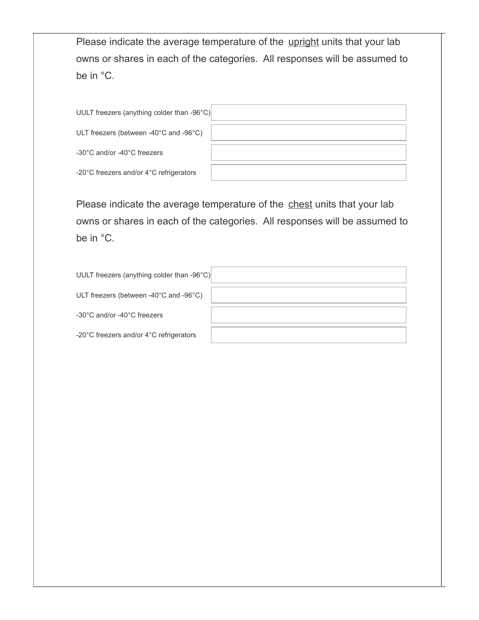Please indicate the average temperature of the upright units that your lab owns or shares in each of the categories. All responses will be assumed to be in °C.

| UULT freezers (anything colder than -96°C)                   |  |
|--------------------------------------------------------------|--|
| ULT freezers (between -40 $^{\circ}$ C and -96 $^{\circ}$ C) |  |
| -30°C and/or -40°C freezers                                  |  |
| -20°C freezers and/or 4°C refrigerators                      |  |

Please indicate the average temperature of the chest units that your lab owns or shares in each of the categories. All responses will be assumed to be in °C.

| UULT freezers (anything colder than -96°C)                   |  |
|--------------------------------------------------------------|--|
| ULT freezers (between -40 $^{\circ}$ C and -96 $^{\circ}$ C) |  |
| -30°C and/or -40°C freezers                                  |  |
| -20°C freezers and/or 4°C refrigerators                      |  |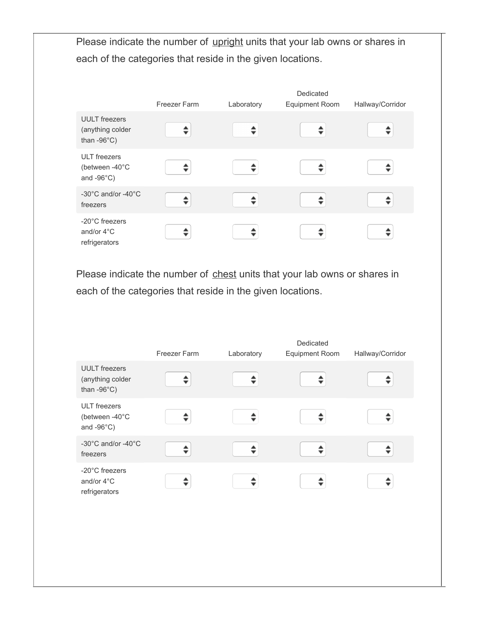Please indicate the number of upright units that your lab owns or shares in each of the categories that reside in the given locations.

|                                                                   | Freezer Farm | Laboratory | Dedicated<br><b>Equipment Room</b> | Hallway/Corridor |
|-------------------------------------------------------------------|--------------|------------|------------------------------------|------------------|
| <b>UULT</b> freezers<br>(anything colder<br>than $-96^{\circ}$ C) |              |            |                                    |                  |
| <b>ULT</b> freezers<br>(between -40°C<br>and $-96^{\circ}$ C)     |              |            |                                    |                  |
| $-30^{\circ}$ C and/or $-40^{\circ}$ C<br>freezers                |              |            |                                    |                  |
| -20°C freezers<br>and/or $4^{\circ}$ C<br>refrigerators           |              |            |                                    |                  |

Please indicate the number of chest units that your lab owns or shares in each of the categories that reside in the given locations.

|                                                                   | Freezer Farm | Laboratory | Dedicated<br><b>Equipment Room</b> | Hallway/Corridor |
|-------------------------------------------------------------------|--------------|------------|------------------------------------|------------------|
| <b>UULT</b> freezers<br>(anything colder<br>than $-96^{\circ}$ C) |              |            |                                    |                  |
| <b>ULT</b> freezers<br>(between -40°C<br>and $-96^{\circ}$ C)     |              |            |                                    |                  |
| -30°C and/or -40°C<br>freezers                                    |              |            |                                    |                  |
| -20°C freezers<br>and/or $4^{\circ}$ C<br>refrigerators           |              |            |                                    |                  |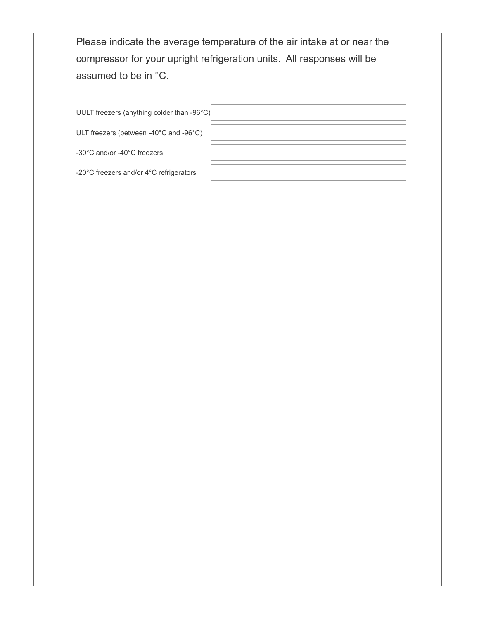Please indicate the average temperature of the air intake at or near the compressor for your upright refrigeration units. All responses will be assumed to be in °C.

UULT freezers (anything colder than -96°C)

ULT freezers (between -40°C and -96°C)

-30°C and/or -40°C freezers

-20°C freezers and/or 4°C refrigerators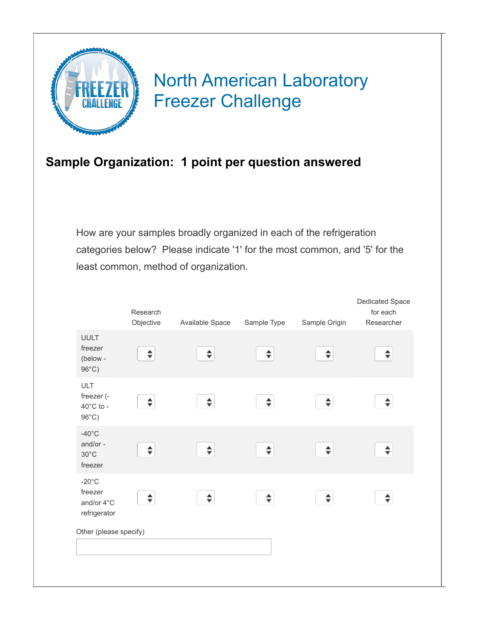

#### **Sample Organization: 1 point per question answered**

How are your samples broadly organized in each of the refrigeration categories below? Please indicate '1' for the most common, and '5' for the least common, method of organization.

|                                                             | Research<br>Objective | Available Space | Sample Type | Sample Origin | Dedicated Space<br>for each<br>Researcher |
|-------------------------------------------------------------|-----------------------|-----------------|-------------|---------------|-------------------------------------------|
| <b>UULT</b><br>freezer<br>(below -<br>$96^{\circ}$ C)       | ÷                     | ♦               | ♦           | ÷             | ÷                                         |
| ULT<br>freezer (-<br>$40^{\circ}$ C to -<br>$96^{\circ}$ C) | ÷                     | ♦               | ♦           | ÷             | ÷                                         |
| $-40^{\circ}$ C<br>and/or-<br>$30^{\circ}$ C<br>freezer     | ≑                     | $\div$          | ♦           | $\div$        | ≑                                         |
| $-20^{\circ}$ C<br>freezer<br>and/or 4°C<br>refrigerator    | ♦                     | ♦               | ÷           | ♦             | ÷                                         |
| Other (please specify)                                      |                       |                 |             |               |                                           |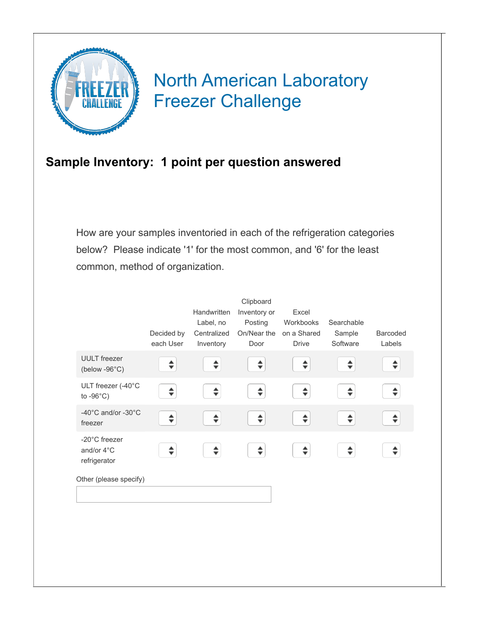

#### **Sample Inventory: 1 point per question answered**

How are your samples inventoried in each of the refrigeration categories below? Please indicate '1' for the most common, and '6' for the least common, method of organization.

|                                                       |                               |                               | Clipboard                     |                               |                               |                               |
|-------------------------------------------------------|-------------------------------|-------------------------------|-------------------------------|-------------------------------|-------------------------------|-------------------------------|
|                                                       |                               | Handwritten<br>Label, no      | Inventory or<br>Posting       | Excel<br>Workbooks            | Searchable                    |                               |
|                                                       | Decided by<br>each User       | Centralized<br>Inventory      | On/Near the<br>Door           | on a Shared<br><b>Drive</b>   | Sample<br>Software            | <b>Barcoded</b><br>Labels     |
| <b>UULT</b> freezer<br>(below -96 $°C$ )              | ▲<br>$\overline{\phantom{a}}$ | $\overline{\phantom{a}}$      | $\overline{\phantom{a}}$      |                               |                               |                               |
| ULT freezer (-40°C<br>to $-96^{\circ}$ C)             | ▲<br>$\overline{\phantom{a}}$ | ▲<br>$\overline{\phantom{a}}$ | ▲<br>$\overline{\phantom{a}}$ | ▲<br>$\overline{\phantom{a}}$ | ▲<br>$\overline{\phantom{a}}$ | $\overline{\phantom{a}}$      |
| $-40^{\circ}$ C and/or $-30^{\circ}$ C<br>freezer     | ≑                             | ≑                             | ♦                             | ÷                             | ▲<br>$\overline{\phantom{a}}$ | ▲<br>$\overline{\phantom{a}}$ |
| -20°C freezer<br>and/or $4^{\circ}$ C<br>refrigerator |                               | ▲<br>$\overline{\phantom{a}}$ | $\overline{\phantom{a}}$      |                               |                               |                               |
| Other (please specify)                                |                               |                               |                               |                               |                               |                               |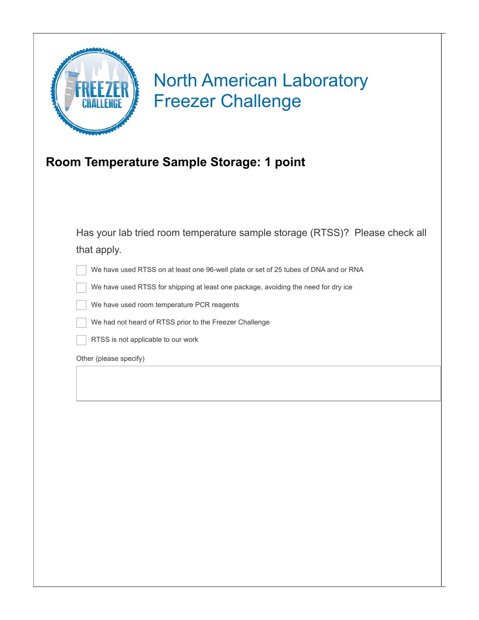

### **Room Temperature Sample Storage: 1 point**

| Has your lab tried room temperature sample storage (RTSS)? Please check all          |
|--------------------------------------------------------------------------------------|
| that apply.                                                                          |
| We have used RTSS on at least one 96-well plate or set of 25 tubes of DNA and or RNA |
| We have used RTSS for shipping at least one package, avoiding the need for dry ice   |
| We have used room temperature PCR reagents                                           |
| We had not heard of RTSS prior to the Freezer Challenge                              |
| RTSS is not applicable to our work                                                   |
| Other (please specify)                                                               |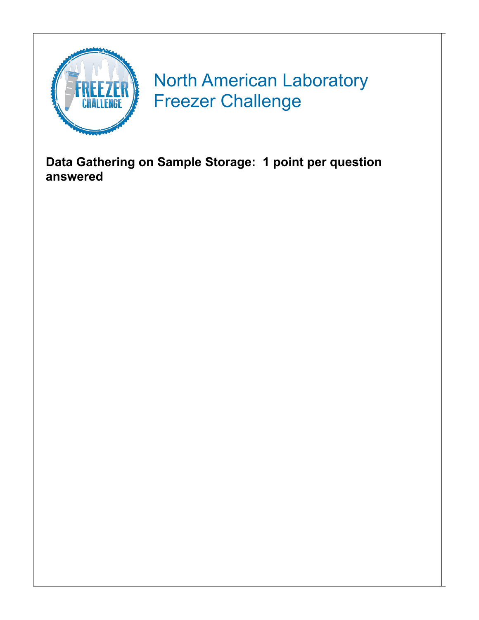

**Data Gathering on Sample Storage: 1 point per question answered**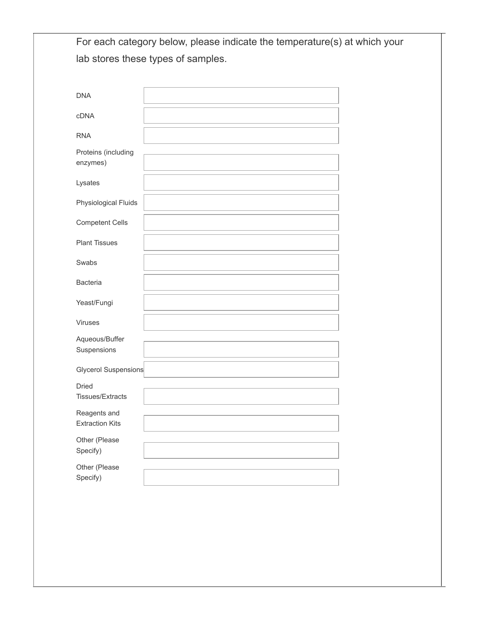| <b>DNA</b>                             |  |  |
|----------------------------------------|--|--|
| cDNA                                   |  |  |
| <b>RNA</b>                             |  |  |
| Proteins (including<br>enzymes)        |  |  |
| Lysates                                |  |  |
| Physiological Fluids                   |  |  |
| <b>Competent Cells</b>                 |  |  |
| <b>Plant Tissues</b>                   |  |  |
| Swabs                                  |  |  |
| <b>Bacteria</b>                        |  |  |
| Yeast/Fungi                            |  |  |
| Viruses                                |  |  |
| Aqueous/Buffer<br>Suspensions          |  |  |
| Glycerol Suspensions                   |  |  |
| Dried<br>Tissues/Extracts              |  |  |
| Reagents and<br><b>Extraction Kits</b> |  |  |
| Other (Please<br>Specify)              |  |  |
| Other (Please<br>Specify)              |  |  |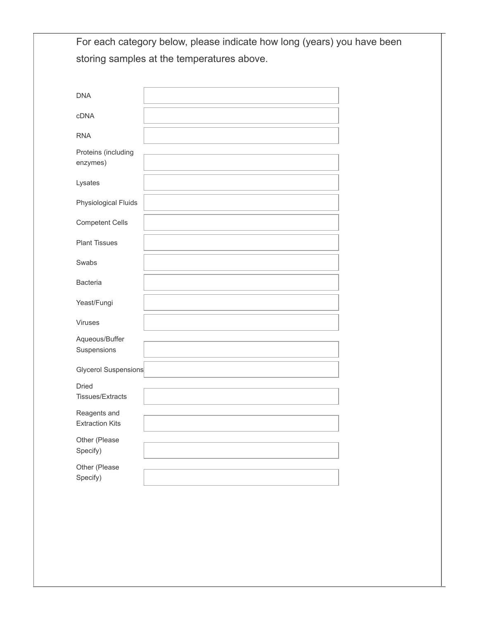|                                        | storing samples at the temperatures above. |  |
|----------------------------------------|--------------------------------------------|--|
|                                        |                                            |  |
|                                        |                                            |  |
| <b>DNA</b>                             |                                            |  |
| cDNA                                   |                                            |  |
| <b>RNA</b>                             |                                            |  |
| Proteins (including                    |                                            |  |
| enzymes)                               |                                            |  |
|                                        |                                            |  |
| Lysates                                |                                            |  |
| Physiological Fluids                   |                                            |  |
|                                        |                                            |  |
| <b>Competent Cells</b>                 |                                            |  |
| <b>Plant Tissues</b>                   |                                            |  |
|                                        |                                            |  |
| Swabs                                  |                                            |  |
| Bacteria                               |                                            |  |
|                                        |                                            |  |
| Yeast/Fungi                            |                                            |  |
| Viruses                                |                                            |  |
| Aqueous/Buffer                         |                                            |  |
| Suspensions                            |                                            |  |
| Glycerol Suspensions                   |                                            |  |
|                                        |                                            |  |
| Dried<br><b>Tissues/Extracts</b>       |                                            |  |
|                                        |                                            |  |
| Reagents and<br><b>Extraction Kits</b> |                                            |  |
|                                        |                                            |  |
| Other (Please<br>Specify)              |                                            |  |
|                                        |                                            |  |
| Other (Please<br>Specify)              |                                            |  |
|                                        |                                            |  |